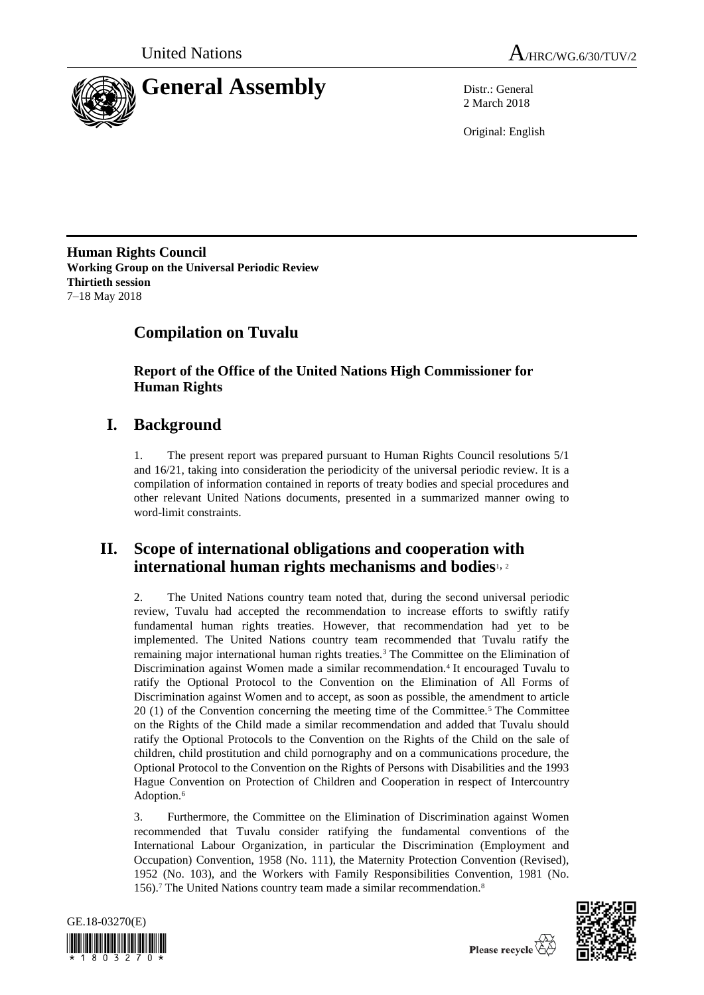



2 March 2018

Original: English

**Human Rights Council Working Group on the Universal Periodic Review Thirtieth session** 7–18 May 2018

# **Compilation on Tuvalu**

**Report of the Office of the United Nations High Commissioner for Human Rights**

# **I. Background**

1. The present report was prepared pursuant to Human Rights Council resolutions 5/1 and 16/21, taking into consideration the periodicity of the universal periodic review. It is a compilation of information contained in reports of treaty bodies and special procedures and other relevant United Nations documents, presented in a summarized manner owing to word-limit constraints.

## **II. Scope of international obligations and cooperation with international human rights mechanisms and bodies**1, <sup>2</sup>

2. The United Nations country team noted that, during the second universal periodic review, Tuvalu had accepted the recommendation to increase efforts to swiftly ratify fundamental human rights treaties. However, that recommendation had yet to be implemented. The United Nations country team recommended that Tuvalu ratify the remaining major international human rights treaties.<sup>3</sup> The Committee on the Elimination of Discrimination against Women made a similar recommendation.<sup>4</sup> It encouraged Tuvalu to ratify the Optional Protocol to the Convention on the Elimination of All Forms of Discrimination against Women and to accept, as soon as possible, the amendment to article 20 (1) of the Convention concerning the meeting time of the Committee.<sup>5</sup> The Committee on the Rights of the Child made a similar recommendation and added that Tuvalu should ratify the Optional Protocols to the Convention on the Rights of the Child on the sale of children, child prostitution and child pornography and on a communications procedure, the Optional Protocol to the Convention on the Rights of Persons with Disabilities and the 1993 Hague Convention on Protection of Children and Cooperation in respect of Intercountry Adoption.<sup>6</sup>

3. Furthermore, the Committee on the Elimination of Discrimination against Women recommended that Tuvalu consider ratifying the fundamental conventions of the International Labour Organization, in particular the Discrimination (Employment and Occupation) Convention, 1958 (No. 111), the Maternity Protection Convention (Revised), 1952 (No. 103), and the Workers with Family Responsibilities Convention, 1981 (No. 156).<sup>7</sup> The United Nations country team made a similar recommendation.<sup>8</sup>



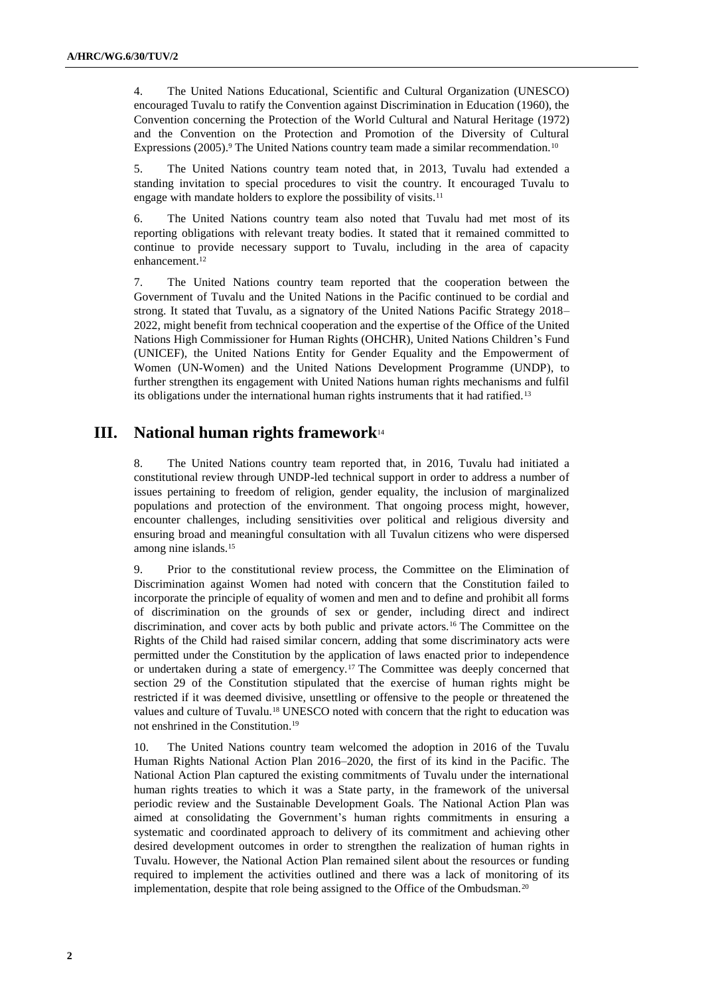4. The United Nations Educational, Scientific and Cultural Organization (UNESCO) encouraged Tuvalu to ratify the Convention against Discrimination in Education (1960), the Convention concerning the Protection of the World Cultural and Natural Heritage (1972) and the Convention on the Protection and Promotion of the Diversity of Cultural Expressions (2005).<sup>9</sup> The United Nations country team made a similar recommendation.<sup>10</sup>

5. The United Nations country team noted that, in 2013, Tuvalu had extended a standing invitation to special procedures to visit the country. It encouraged Tuvalu to engage with mandate holders to explore the possibility of visits.<sup>11</sup>

6. The United Nations country team also noted that Tuvalu had met most of its reporting obligations with relevant treaty bodies. It stated that it remained committed to continue to provide necessary support to Tuvalu, including in the area of capacity enhancement.<sup>12</sup>

7. The United Nations country team reported that the cooperation between the Government of Tuvalu and the United Nations in the Pacific continued to be cordial and strong. It stated that Tuvalu, as a signatory of the United Nations Pacific Strategy 2018– 2022, might benefit from technical cooperation and the expertise of the Office of the United Nations High Commissioner for Human Rights (OHCHR), United Nations Children's Fund (UNICEF), the United Nations Entity for Gender Equality and the Empowerment of Women (UN-Women) and the United Nations Development Programme (UNDP), to further strengthen its engagement with United Nations human rights mechanisms and fulfil its obligations under the international human rights instruments that it had ratified.<sup>13</sup>

## **III. National human rights framework**<sup>14</sup>

8. The United Nations country team reported that, in 2016, Tuvalu had initiated a constitutional review through UNDP-led technical support in order to address a number of issues pertaining to freedom of religion, gender equality, the inclusion of marginalized populations and protection of the environment. That ongoing process might, however, encounter challenges, including sensitivities over political and religious diversity and ensuring broad and meaningful consultation with all Tuvalun citizens who were dispersed among nine islands.<sup>15</sup>

9. Prior to the constitutional review process, the Committee on the Elimination of Discrimination against Women had noted with concern that the Constitution failed to incorporate the principle of equality of women and men and to define and prohibit all forms of discrimination on the grounds of sex or gender, including direct and indirect discrimination, and cover acts by both public and private actors.<sup>16</sup> The Committee on the Rights of the Child had raised similar concern, adding that some discriminatory acts were permitted under the Constitution by the application of laws enacted prior to independence or undertaken during a state of emergency.<sup>17</sup> The Committee was deeply concerned that section 29 of the Constitution stipulated that the exercise of human rights might be restricted if it was deemed divisive, unsettling or offensive to the people or threatened the values and culture of Tuvalu.<sup>18</sup> UNESCO noted with concern that the right to education was not enshrined in the Constitution.<sup>19</sup>

10. The United Nations country team welcomed the adoption in 2016 of the Tuvalu Human Rights National Action Plan 2016–2020, the first of its kind in the Pacific. The National Action Plan captured the existing commitments of Tuvalu under the international human rights treaties to which it was a State party, in the framework of the universal periodic review and the Sustainable Development Goals. The National Action Plan was aimed at consolidating the Government's human rights commitments in ensuring a systematic and coordinated approach to delivery of its commitment and achieving other desired development outcomes in order to strengthen the realization of human rights in Tuvalu. However, the National Action Plan remained silent about the resources or funding required to implement the activities outlined and there was a lack of monitoring of its implementation, despite that role being assigned to the Office of the Ombudsman.<sup>20</sup>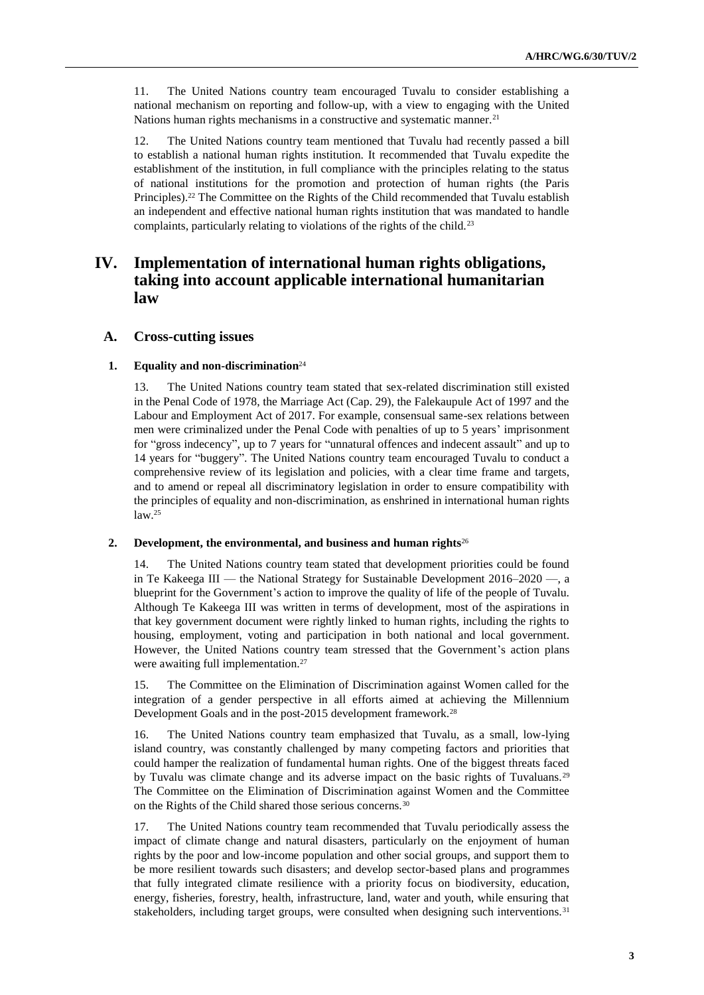11. The United Nations country team encouraged Tuvalu to consider establishing a national mechanism on reporting and follow-up, with a view to engaging with the United Nations human rights mechanisms in a constructive and systematic manner.<sup>21</sup>

12. The United Nations country team mentioned that Tuvalu had recently passed a bill to establish a national human rights institution. It recommended that Tuvalu expedite the establishment of the institution, in full compliance with the principles relating to the status of national institutions for the promotion and protection of human rights (the Paris Principles).<sup>22</sup> The Committee on the Rights of the Child recommended that Tuvalu establish an independent and effective national human rights institution that was mandated to handle complaints, particularly relating to violations of the rights of the child.<sup>23</sup>

## **IV. Implementation of international human rights obligations, taking into account applicable international humanitarian law**

## **A. Cross-cutting issues**

### **1. Equality and non-discrimination**<sup>24</sup>

13. The United Nations country team stated that sex-related discrimination still existed in the Penal Code of 1978, the Marriage Act (Cap. 29), the Falekaupule Act of 1997 and the Labour and Employment Act of 2017. For example, consensual same-sex relations between men were criminalized under the Penal Code with penalties of up to 5 years' imprisonment for "gross indecency", up to 7 years for "unnatural offences and indecent assault" and up to 14 years for "buggery". The United Nations country team encouraged Tuvalu to conduct a comprehensive review of its legislation and policies, with a clear time frame and targets, and to amend or repeal all discriminatory legislation in order to ensure compatibility with the principles of equality and non-discrimination, as enshrined in international human rights law.<sup>25</sup>

### **2. Development, the environmental, and business and human rights**<sup>26</sup>

14. The United Nations country team stated that development priorities could be found in Te Kakeega III — the National Strategy for Sustainable Development 2016–2020 —, a blueprint for the Government's action to improve the quality of life of the people of Tuvalu. Although Te Kakeega III was written in terms of development, most of the aspirations in that key government document were rightly linked to human rights, including the rights to housing, employment, voting and participation in both national and local government. However, the United Nations country team stressed that the Government's action plans were awaiting full implementation.<sup>27</sup>

15. The Committee on the Elimination of Discrimination against Women called for the integration of a gender perspective in all efforts aimed at achieving the Millennium Development Goals and in the post-2015 development framework.<sup>28</sup>

16. The United Nations country team emphasized that Tuvalu, as a small, low-lying island country, was constantly challenged by many competing factors and priorities that could hamper the realization of fundamental human rights. One of the biggest threats faced by Tuvalu was climate change and its adverse impact on the basic rights of Tuvaluans.<sup>29</sup> The Committee on the Elimination of Discrimination against Women and the Committee on the Rights of the Child shared those serious concerns.<sup>30</sup>

17. The United Nations country team recommended that Tuvalu periodically assess the impact of climate change and natural disasters, particularly on the enjoyment of human rights by the poor and low-income population and other social groups, and support them to be more resilient towards such disasters; and develop sector-based plans and programmes that fully integrated climate resilience with a priority focus on biodiversity, education, energy, fisheries, forestry, health, infrastructure, land, water and youth, while ensuring that stakeholders, including target groups, were consulted when designing such interventions.<sup>31</sup>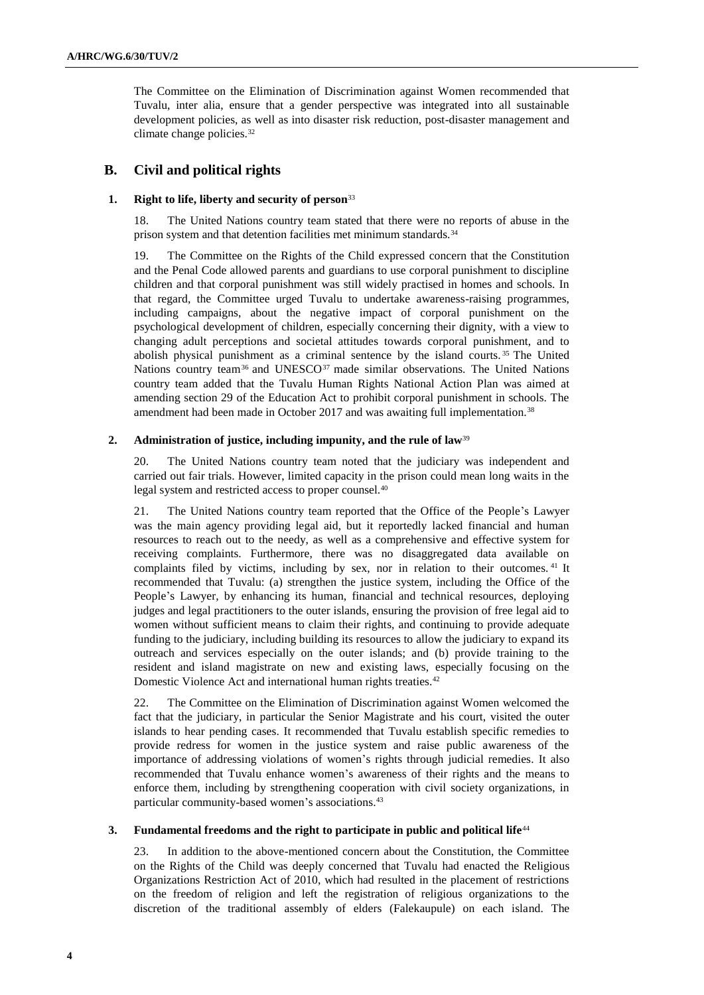The Committee on the Elimination of Discrimination against Women recommended that Tuvalu, inter alia, ensure that a gender perspective was integrated into all sustainable development policies, as well as into disaster risk reduction, post-disaster management and climate change policies.<sup>32</sup>

## **B. Civil and political rights**

## **1. Right to life, liberty and security of person**<sup>33</sup>

18. The United Nations country team stated that there were no reports of abuse in the prison system and that detention facilities met minimum standards.<sup>34</sup>

19. The Committee on the Rights of the Child expressed concern that the Constitution and the Penal Code allowed parents and guardians to use corporal punishment to discipline children and that corporal punishment was still widely practised in homes and schools. In that regard, the Committee urged Tuvalu to undertake awareness-raising programmes, including campaigns, about the negative impact of corporal punishment on the psychological development of children, especially concerning their dignity, with a view to changing adult perceptions and societal attitudes towards corporal punishment, and to abolish physical punishment as a criminal sentence by the island courts. <sup>35</sup> The United Nations country team<sup>36</sup> and UNESCO<sup>37</sup> made similar observations. The United Nations country team added that the Tuvalu Human Rights National Action Plan was aimed at amending section 29 of the Education Act to prohibit corporal punishment in schools. The amendment had been made in October 2017 and was awaiting full implementation.<sup>38</sup>

## **2. Administration of justice, including impunity, and the rule of law**<sup>39</sup>

20. The United Nations country team noted that the judiciary was independent and carried out fair trials. However, limited capacity in the prison could mean long waits in the legal system and restricted access to proper counsel.<sup>40</sup>

21. The United Nations country team reported that the Office of the People's Lawyer was the main agency providing legal aid, but it reportedly lacked financial and human resources to reach out to the needy, as well as a comprehensive and effective system for receiving complaints. Furthermore, there was no disaggregated data available on complaints filed by victims, including by sex, nor in relation to their outcomes. <sup>41</sup> It recommended that Tuvalu: (a) strengthen the justice system, including the Office of the People's Lawyer, by enhancing its human, financial and technical resources, deploying judges and legal practitioners to the outer islands, ensuring the provision of free legal aid to women without sufficient means to claim their rights, and continuing to provide adequate funding to the judiciary, including building its resources to allow the judiciary to expand its outreach and services especially on the outer islands; and (b) provide training to the resident and island magistrate on new and existing laws, especially focusing on the Domestic Violence Act and international human rights treaties.<sup>42</sup>

22. The Committee on the Elimination of Discrimination against Women welcomed the fact that the judiciary, in particular the Senior Magistrate and his court, visited the outer islands to hear pending cases. It recommended that Tuvalu establish specific remedies to provide redress for women in the justice system and raise public awareness of the importance of addressing violations of women's rights through judicial remedies. It also recommended that Tuvalu enhance women's awareness of their rights and the means to enforce them, including by strengthening cooperation with civil society organizations, in particular community-based women's associations.<sup>43</sup>

### **3. Fundamental freedoms and the right to participate in public and political life**<sup>44</sup>

23. In addition to the above-mentioned concern about the Constitution, the Committee on the Rights of the Child was deeply concerned that Tuvalu had enacted the Religious Organizations Restriction Act of 2010, which had resulted in the placement of restrictions on the freedom of religion and left the registration of religious organizations to the discretion of the traditional assembly of elders (Falekaupule) on each island. The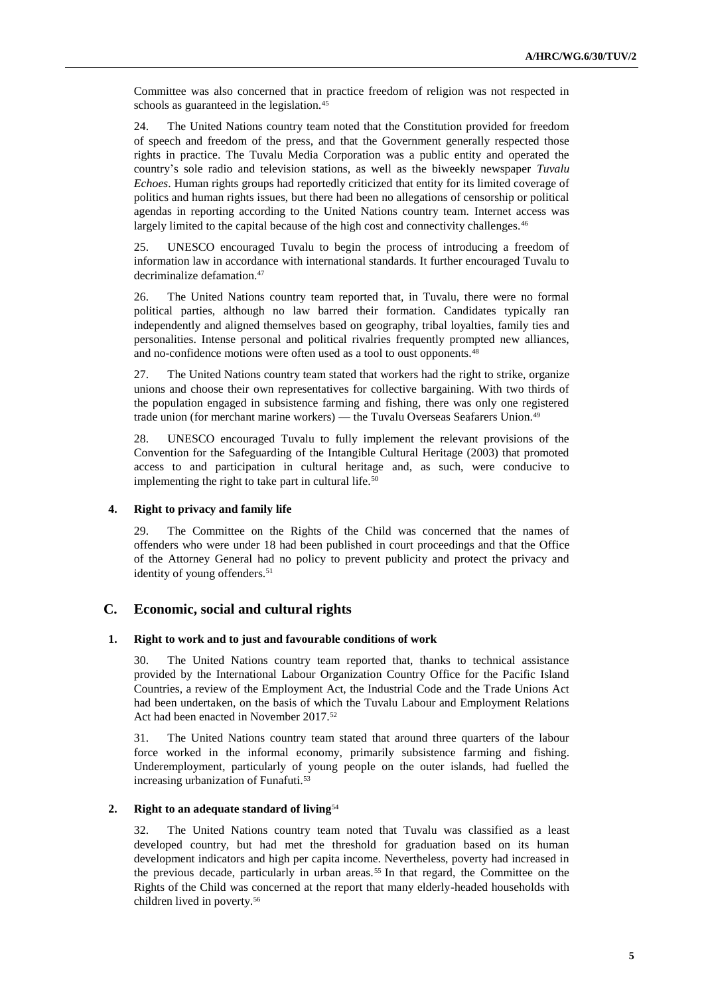Committee was also concerned that in practice freedom of religion was not respected in schools as guaranteed in the legislation.<sup>45</sup>

24. The United Nations country team noted that the Constitution provided for freedom of speech and freedom of the press, and that the Government generally respected those rights in practice. The Tuvalu Media Corporation was a public entity and operated the country's sole radio and television stations, as well as the biweekly newspaper *Tuvalu Echoes*. Human rights groups had reportedly criticized that entity for its limited coverage of politics and human rights issues, but there had been no allegations of censorship or political agendas in reporting according to the United Nations country team. Internet access was largely limited to the capital because of the high cost and connectivity challenges.<sup>46</sup>

25. UNESCO encouraged Tuvalu to begin the process of introducing a freedom of information law in accordance with international standards. It further encouraged Tuvalu to decriminalize defamation.<sup>47</sup>

26. The United Nations country team reported that, in Tuvalu, there were no formal political parties, although no law barred their formation. Candidates typically ran independently and aligned themselves based on geography, tribal loyalties, family ties and personalities. Intense personal and political rivalries frequently prompted new alliances, and no-confidence motions were often used as a tool to oust opponents.<sup>48</sup>

27. The United Nations country team stated that workers had the right to strike, organize unions and choose their own representatives for collective bargaining. With two thirds of the population engaged in subsistence farming and fishing, there was only one registered trade union (for merchant marine workers) — the Tuvalu Overseas Seafarers Union.<sup>49</sup>

28. UNESCO encouraged Tuvalu to fully implement the relevant provisions of the Convention for the Safeguarding of the Intangible Cultural Heritage (2003) that promoted access to and participation in cultural heritage and, as such, were conducive to implementing the right to take part in cultural life.<sup>50</sup>

## **4. Right to privacy and family life**

29. The Committee on the Rights of the Child was concerned that the names of offenders who were under 18 had been published in court proceedings and that the Office of the Attorney General had no policy to prevent publicity and protect the privacy and identity of young offenders.<sup>51</sup>

## **C. Economic, social and cultural rights**

### **1. Right to work and to just and favourable conditions of work**

30. The United Nations country team reported that, thanks to technical assistance provided by the International Labour Organization Country Office for the Pacific Island Countries, a review of the Employment Act, the Industrial Code and the Trade Unions Act had been undertaken, on the basis of which the Tuvalu Labour and Employment Relations Act had been enacted in November 2017.<sup>52</sup>

31. The United Nations country team stated that around three quarters of the labour force worked in the informal economy, primarily subsistence farming and fishing. Underemployment, particularly of young people on the outer islands, had fuelled the increasing urbanization of Funafuti.<sup>53</sup>

## **2. Right to an adequate standard of living**<sup>54</sup>

32. The United Nations country team noted that Tuvalu was classified as a least developed country, but had met the threshold for graduation based on its human development indicators and high per capita income. Nevertheless, poverty had increased in the previous decade, particularly in urban areas.<sup>55</sup> In that regard, the Committee on the Rights of the Child was concerned at the report that many elderly-headed households with children lived in poverty.56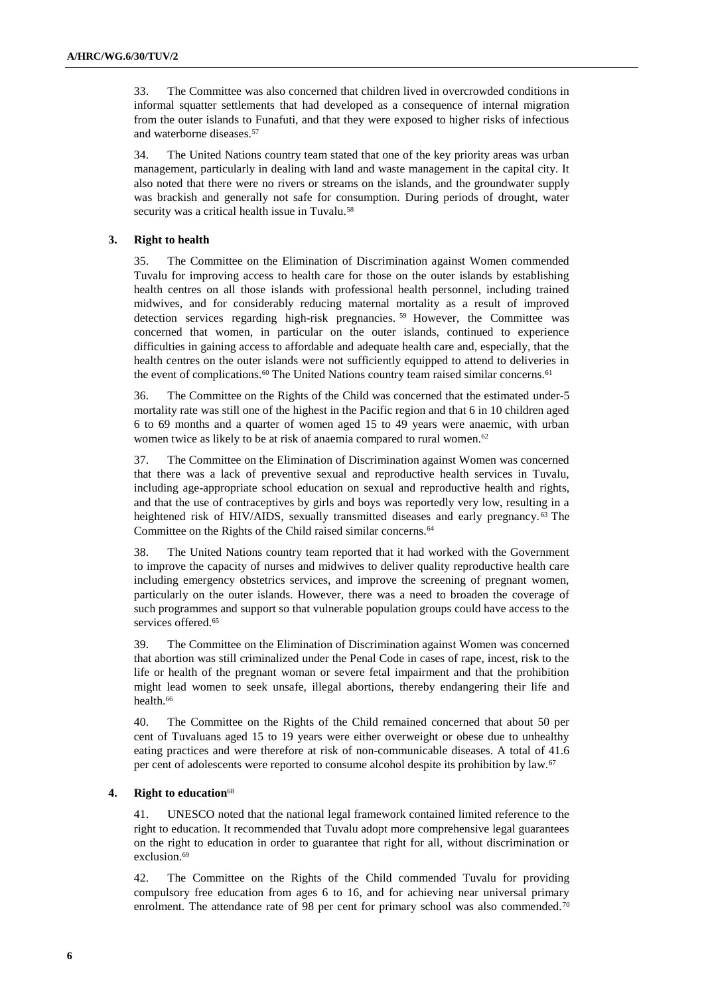33. The Committee was also concerned that children lived in overcrowded conditions in informal squatter settlements that had developed as a consequence of internal migration from the outer islands to Funafuti, and that they were exposed to higher risks of infectious and waterborne diseases.<sup>57</sup>

34. The United Nations country team stated that one of the key priority areas was urban management, particularly in dealing with land and waste management in the capital city. It also noted that there were no rivers or streams on the islands, and the groundwater supply was brackish and generally not safe for consumption. During periods of drought, water security was a critical health issue in Tuvalu.<sup>58</sup>

## **3. Right to health**

35. The Committee on the Elimination of Discrimination against Women commended Tuvalu for improving access to health care for those on the outer islands by establishing health centres on all those islands with professional health personnel, including trained midwives, and for considerably reducing maternal mortality as a result of improved detection services regarding high-risk pregnancies. <sup>59</sup> However, the Committee was concerned that women, in particular on the outer islands, continued to experience difficulties in gaining access to affordable and adequate health care and, especially, that the health centres on the outer islands were not sufficiently equipped to attend to deliveries in the event of complications.<sup>60</sup> The United Nations country team raised similar concerns.<sup>61</sup>

36. The Committee on the Rights of the Child was concerned that the estimated under-5 mortality rate was still one of the highest in the Pacific region and that 6 in 10 children aged 6 to 69 months and a quarter of women aged 15 to 49 years were anaemic, with urban women twice as likely to be at risk of anaemia compared to rural women.<sup>62</sup>

37. The Committee on the Elimination of Discrimination against Women was concerned that there was a lack of preventive sexual and reproductive health services in Tuvalu, including age-appropriate school education on sexual and reproductive health and rights, and that the use of contraceptives by girls and boys was reportedly very low, resulting in a heightened risk of HIV/AIDS, sexually transmitted diseases and early pregnancy.<sup>63</sup> The Committee on the Rights of the Child raised similar concerns.<sup>64</sup>

38. The United Nations country team reported that it had worked with the Government to improve the capacity of nurses and midwives to deliver quality reproductive health care including emergency obstetrics services, and improve the screening of pregnant women, particularly on the outer islands. However, there was a need to broaden the coverage of such programmes and support so that vulnerable population groups could have access to the services offered.<sup>65</sup>

39. The Committee on the Elimination of Discrimination against Women was concerned that abortion was still criminalized under the Penal Code in cases of rape, incest, risk to the life or health of the pregnant woman or severe fetal impairment and that the prohibition might lead women to seek unsafe, illegal abortions, thereby endangering their life and health.<sup>66</sup>

40. The Committee on the Rights of the Child remained concerned that about 50 per cent of Tuvaluans aged 15 to 19 years were either overweight or obese due to unhealthy eating practices and were therefore at risk of non-communicable diseases. A total of 41.6 per cent of adolescents were reported to consume alcohol despite its prohibition by law.<sup>67</sup>

## **4. Right to education**<sup>68</sup>

41. UNESCO noted that the national legal framework contained limited reference to the right to education. It recommended that Tuvalu adopt more comprehensive legal guarantees on the right to education in order to guarantee that right for all, without discrimination or exclusion.<sup>69</sup>

42. The Committee on the Rights of the Child commended Tuvalu for providing compulsory free education from ages 6 to 16, and for achieving near universal primary enrolment. The attendance rate of 98 per cent for primary school was also commended.<sup>70</sup>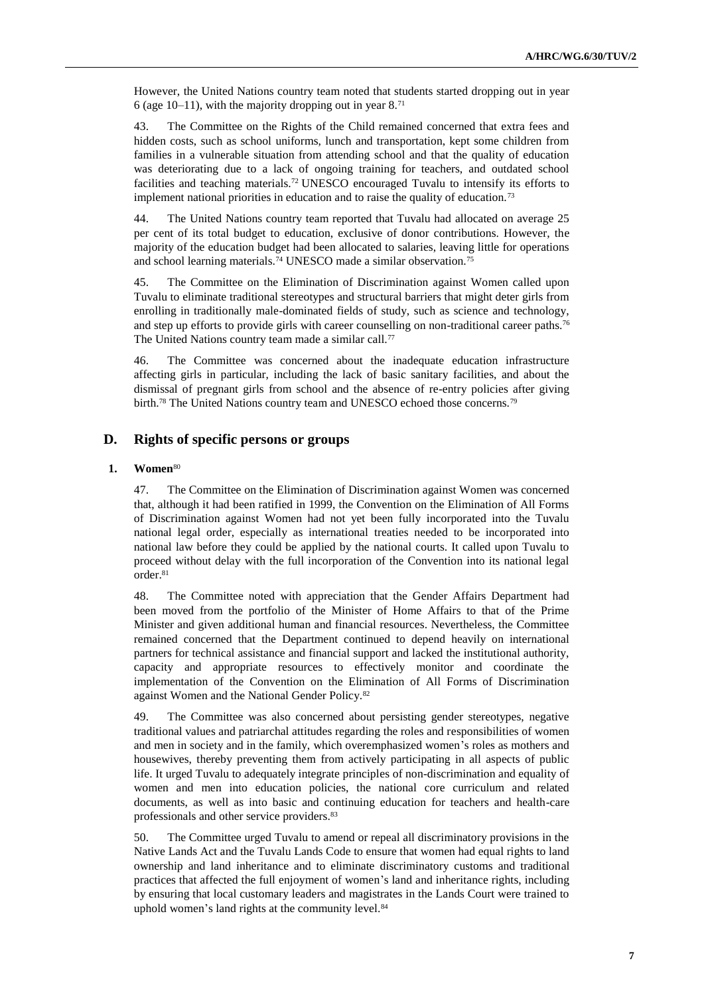However, the United Nations country team noted that students started dropping out in year 6 (age 10–11), with the majority dropping out in year  $8.^{71}$ 

43. The Committee on the Rights of the Child remained concerned that extra fees and hidden costs, such as school uniforms, lunch and transportation, kept some children from families in a vulnerable situation from attending school and that the quality of education was deteriorating due to a lack of ongoing training for teachers, and outdated school facilities and teaching materials.<sup>72</sup> UNESCO encouraged Tuvalu to intensify its efforts to implement national priorities in education and to raise the quality of education.<sup>73</sup>

44. The United Nations country team reported that Tuvalu had allocated on average 25 per cent of its total budget to education, exclusive of donor contributions. However, the majority of the education budget had been allocated to salaries, leaving little for operations and school learning materials.<sup>74</sup> UNESCO made a similar observation.<sup>75</sup>

45. The Committee on the Elimination of Discrimination against Women called upon Tuvalu to eliminate traditional stereotypes and structural barriers that might deter girls from enrolling in traditionally male-dominated fields of study, such as science and technology, and step up efforts to provide girls with career counselling on non-traditional career paths.<sup>76</sup> The United Nations country team made a similar call.<sup>77</sup>

46. The Committee was concerned about the inadequate education infrastructure affecting girls in particular, including the lack of basic sanitary facilities, and about the dismissal of pregnant girls from school and the absence of re-entry policies after giving birth.<sup>78</sup> The United Nations country team and UNESCO echoed those concerns.<sup>79</sup>

## **D. Rights of specific persons or groups**

### **1. Women**<sup>80</sup>

47. The Committee on the Elimination of Discrimination against Women was concerned that, although it had been ratified in 1999, the Convention on the Elimination of All Forms of Discrimination against Women had not yet been fully incorporated into the Tuvalu national legal order, especially as international treaties needed to be incorporated into national law before they could be applied by the national courts. It called upon Tuvalu to proceed without delay with the full incorporation of the Convention into its national legal order.<sup>81</sup>

48. The Committee noted with appreciation that the Gender Affairs Department had been moved from the portfolio of the Minister of Home Affairs to that of the Prime Minister and given additional human and financial resources. Nevertheless, the Committee remained concerned that the Department continued to depend heavily on international partners for technical assistance and financial support and lacked the institutional authority, capacity and appropriate resources to effectively monitor and coordinate the implementation of the Convention on the Elimination of All Forms of Discrimination against Women and the National Gender Policy.<sup>82</sup>

49. The Committee was also concerned about persisting gender stereotypes, negative traditional values and patriarchal attitudes regarding the roles and responsibilities of women and men in society and in the family, which overemphasized women's roles as mothers and housewives, thereby preventing them from actively participating in all aspects of public life. It urged Tuvalu to adequately integrate principles of non-discrimination and equality of women and men into education policies, the national core curriculum and related documents, as well as into basic and continuing education for teachers and health-care professionals and other service providers.<sup>83</sup>

50. The Committee urged Tuvalu to amend or repeal all discriminatory provisions in the Native Lands Act and the Tuvalu Lands Code to ensure that women had equal rights to land ownership and land inheritance and to eliminate discriminatory customs and traditional practices that affected the full enjoyment of women's land and inheritance rights, including by ensuring that local customary leaders and magistrates in the Lands Court were trained to uphold women's land rights at the community level.<sup>84</sup>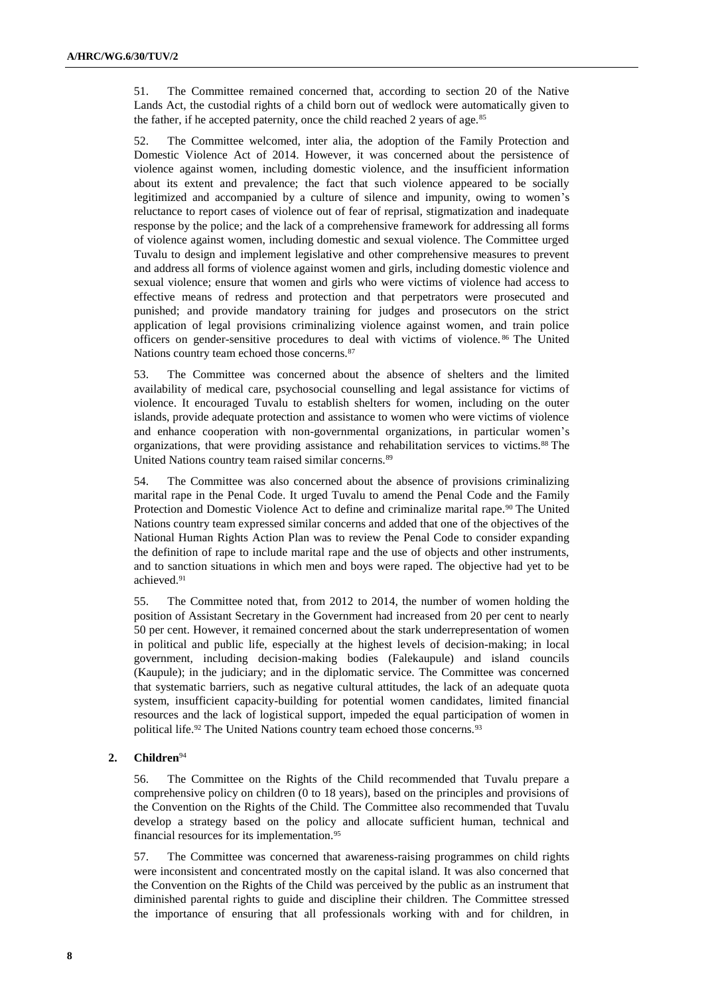51. The Committee remained concerned that, according to section 20 of the Native Lands Act, the custodial rights of a child born out of wedlock were automatically given to the father, if he accepted paternity, once the child reached 2 years of age.<sup>85</sup>

52. The Committee welcomed, inter alia, the adoption of the Family Protection and Domestic Violence Act of 2014. However, it was concerned about the persistence of violence against women, including domestic violence, and the insufficient information about its extent and prevalence; the fact that such violence appeared to be socially legitimized and accompanied by a culture of silence and impunity, owing to women's reluctance to report cases of violence out of fear of reprisal, stigmatization and inadequate response by the police; and the lack of a comprehensive framework for addressing all forms of violence against women, including domestic and sexual violence. The Committee urged Tuvalu to design and implement legislative and other comprehensive measures to prevent and address all forms of violence against women and girls, including domestic violence and sexual violence; ensure that women and girls who were victims of violence had access to effective means of redress and protection and that perpetrators were prosecuted and punished; and provide mandatory training for judges and prosecutors on the strict application of legal provisions criminalizing violence against women, and train police officers on gender-sensitive procedures to deal with victims of violence. <sup>86</sup> The United Nations country team echoed those concerns.<sup>87</sup>

53. The Committee was concerned about the absence of shelters and the limited availability of medical care, psychosocial counselling and legal assistance for victims of violence. It encouraged Tuvalu to establish shelters for women, including on the outer islands, provide adequate protection and assistance to women who were victims of violence and enhance cooperation with non-governmental organizations, in particular women's organizations, that were providing assistance and rehabilitation services to victims.<sup>88</sup> The United Nations country team raised similar concerns.<sup>89</sup>

54. The Committee was also concerned about the absence of provisions criminalizing marital rape in the Penal Code. It urged Tuvalu to amend the Penal Code and the Family Protection and Domestic Violence Act to define and criminalize marital rape.<sup>90</sup> The United Nations country team expressed similar concerns and added that one of the objectives of the National Human Rights Action Plan was to review the Penal Code to consider expanding the definition of rape to include marital rape and the use of objects and other instruments, and to sanction situations in which men and boys were raped. The objective had yet to be achieved.<sup>91</sup>

55. The Committee noted that, from 2012 to 2014, the number of women holding the position of Assistant Secretary in the Government had increased from 20 per cent to nearly 50 per cent. However, it remained concerned about the stark underrepresentation of women in political and public life, especially at the highest levels of decision-making; in local government, including decision-making bodies (Falekaupule) and island councils (Kaupule); in the judiciary; and in the diplomatic service. The Committee was concerned that systematic barriers, such as negative cultural attitudes, the lack of an adequate quota system, insufficient capacity-building for potential women candidates, limited financial resources and the lack of logistical support, impeded the equal participation of women in political life.<sup>92</sup> The United Nations country team echoed those concerns.<sup>93</sup>

## **2. Children**<sup>94</sup>

56. The Committee on the Rights of the Child recommended that Tuvalu prepare a comprehensive policy on children (0 to 18 years), based on the principles and provisions of the Convention on the Rights of the Child. The Committee also recommended that Tuvalu develop a strategy based on the policy and allocate sufficient human, technical and financial resources for its implementation.<sup>95</sup>

57. The Committee was concerned that awareness-raising programmes on child rights were inconsistent and concentrated mostly on the capital island. It was also concerned that the Convention on the Rights of the Child was perceived by the public as an instrument that diminished parental rights to guide and discipline their children. The Committee stressed the importance of ensuring that all professionals working with and for children, in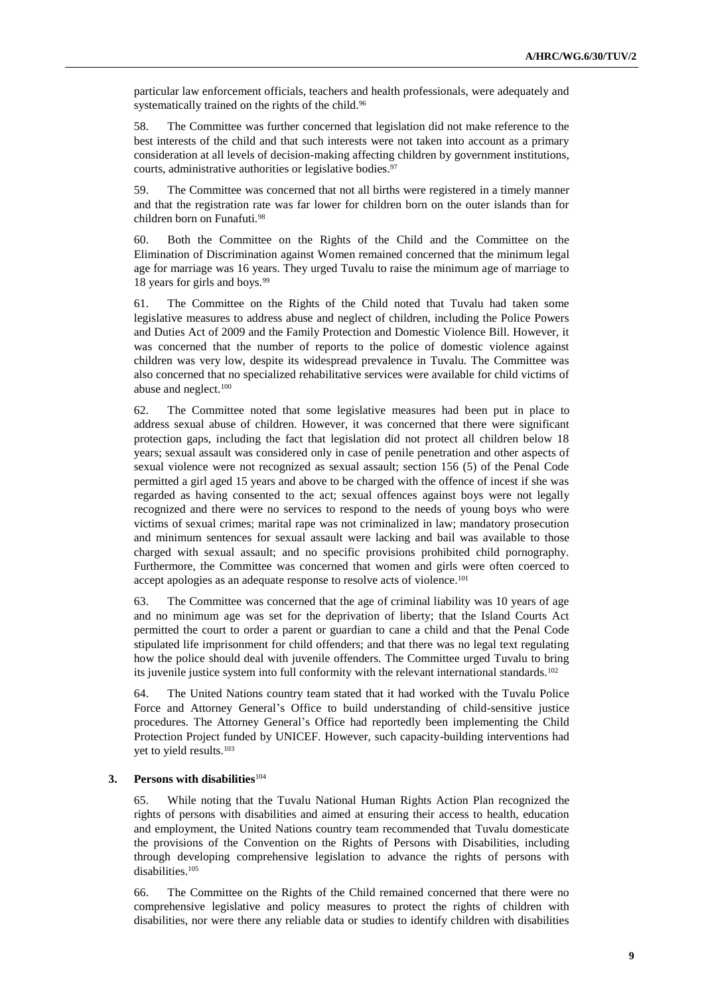particular law enforcement officials, teachers and health professionals, were adequately and systematically trained on the rights of the child.<sup>96</sup>

58. The Committee was further concerned that legislation did not make reference to the best interests of the child and that such interests were not taken into account as a primary consideration at all levels of decision-making affecting children by government institutions, courts, administrative authorities or legislative bodies.<sup>97</sup>

59. The Committee was concerned that not all births were registered in a timely manner and that the registration rate was far lower for children born on the outer islands than for children born on Funafuti.<sup>98</sup>

60. Both the Committee on the Rights of the Child and the Committee on the Elimination of Discrimination against Women remained concerned that the minimum legal age for marriage was 16 years. They urged Tuvalu to raise the minimum age of marriage to 18 years for girls and boys.<sup>99</sup>

61. The Committee on the Rights of the Child noted that Tuvalu had taken some legislative measures to address abuse and neglect of children, including the Police Powers and Duties Act of 2009 and the Family Protection and Domestic Violence Bill. However, it was concerned that the number of reports to the police of domestic violence against children was very low, despite its widespread prevalence in Tuvalu. The Committee was also concerned that no specialized rehabilitative services were available for child victims of abuse and neglect.<sup>100</sup>

62. The Committee noted that some legislative measures had been put in place to address sexual abuse of children. However, it was concerned that there were significant protection gaps, including the fact that legislation did not protect all children below 18 years; sexual assault was considered only in case of penile penetration and other aspects of sexual violence were not recognized as sexual assault; section 156 (5) of the Penal Code permitted a girl aged 15 years and above to be charged with the offence of incest if she was regarded as having consented to the act; sexual offences against boys were not legally recognized and there were no services to respond to the needs of young boys who were victims of sexual crimes; marital rape was not criminalized in law; mandatory prosecution and minimum sentences for sexual assault were lacking and bail was available to those charged with sexual assault; and no specific provisions prohibited child pornography. Furthermore, the Committee was concerned that women and girls were often coerced to accept apologies as an adequate response to resolve acts of violence.<sup>101</sup>

63. The Committee was concerned that the age of criminal liability was 10 years of age and no minimum age was set for the deprivation of liberty; that the Island Courts Act permitted the court to order a parent or guardian to cane a child and that the Penal Code stipulated life imprisonment for child offenders; and that there was no legal text regulating how the police should deal with juvenile offenders. The Committee urged Tuvalu to bring its juvenile justice system into full conformity with the relevant international standards.<sup>102</sup>

64. The United Nations country team stated that it had worked with the Tuvalu Police Force and Attorney General's Office to build understanding of child-sensitive justice procedures. The Attorney General's Office had reportedly been implementing the Child Protection Project funded by UNICEF. However, such capacity-building interventions had yet to yield results.<sup>103</sup>

### **3. Persons with disabilities**<sup>104</sup>

65. While noting that the Tuvalu National Human Rights Action Plan recognized the rights of persons with disabilities and aimed at ensuring their access to health, education and employment, the United Nations country team recommended that Tuvalu domesticate the provisions of the Convention on the Rights of Persons with Disabilities, including through developing comprehensive legislation to advance the rights of persons with disabilities.<sup>105</sup>

66. The Committee on the Rights of the Child remained concerned that there were no comprehensive legislative and policy measures to protect the rights of children with disabilities, nor were there any reliable data or studies to identify children with disabilities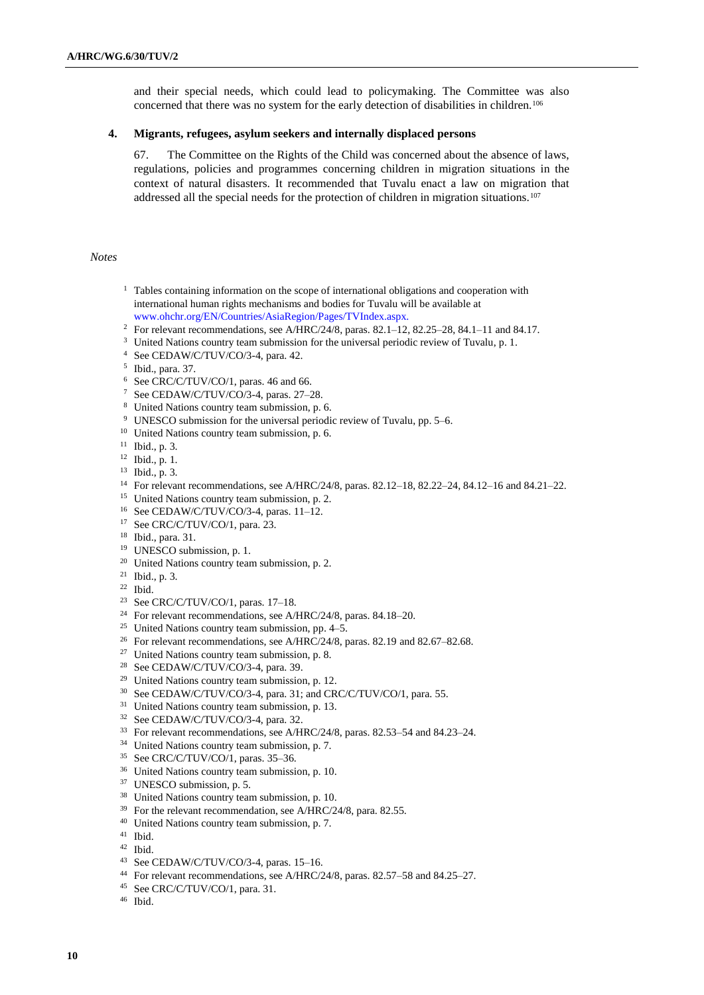and their special needs, which could lead to policymaking. The Committee was also concerned that there was no system for the early detection of disabilities in children.<sup>106</sup>

## **4. Migrants, refugees, asylum seekers and internally displaced persons**

67. The Committee on the Rights of the Child was concerned about the absence of laws, regulations, policies and programmes concerning children in migration situations in the context of natural disasters. It recommended that Tuvalu enact a law on migration that addressed all the special needs for the protection of children in migration situations.<sup>107</sup>

## *Notes*

- <sup>1</sup> Tables containing information on the scope of international obligations and cooperation with international human rights mechanisms and bodies for Tuvalu will be available at [www.ohchr.org/EN/Countries/AsiaRegion/Pages/TVIndex.aspx.](http://www.ohchr.org/EN/Countries/AsiaRegion/Pages/TVIndex.aspx)
- <sup>2</sup> For relevant recommendations, see A/HRC/24/8, paras. 82.1–12, 82.25–28, 84.1–11 and 84.17.
- <sup>3</sup> United Nations country team submission for the universal periodic review of Tuvalu, p. 1.
- See CEDAW/C/TUV/CO/3-4, para. 42.
- Ibid., para. 37.
- See CRC/C/TUV/CO/1, paras. 46 and 66.
- See CEDAW/C/TUV/CO/3-4, paras. 27–28.
- United Nations country team submission, p. 6.
- UNESCO submission for the universal periodic review of Tuvalu, pp. 5–6.
- <sup>10</sup> United Nations country team submission, p. 6.
- Ibid., p. 3.
- Ibid., p. 1.
- Ibid., p. 3.
- For relevant recommendations, see A/HRC/24/8, paras. 82.12–18, 82.22–24, 84.12–16 and 84.21–22.
- <sup>15</sup> United Nations country team submission, p. 2.
- See CEDAW/C/TUV/CO/3-4, paras. 11–12.
- <sup>17</sup> See CRC/C/TUV/CO/1, para. 23.
- Ibid., para. 31.
- UNESCO submission, p. 1.
- United Nations country team submission, p. 2.
- Ibid., p. 3.
- Ibid.
- See CRC/C/TUV/CO/1, paras. 17–18.
- For relevant recommendations, see A/HRC/24/8, paras. 84.18–20.
- <sup>25</sup> United Nations country team submission, pp.  $4-5$ .
- <sup>26</sup> For relevant recommendations, see A/HRC/24/8, paras. 82.19 and 82.67–82.68.
- <sup>27</sup> United Nations country team submission, p. 8.
- <sup>28</sup> See CEDAW/C/TUV/CO/3-4, para. 39.
- United Nations country team submission, p. 12.
- See CEDAW/C/TUV/CO/3-4, para. 31; and CRC/C/TUV/CO/1, para. 55.
- <sup>31</sup> United Nations country team submission, p. 13.
- See CEDAW/C/TUV/CO/3-4, para. 32.
- For relevant recommendations, see A/HRC/24/8, paras. 82.53–54 and 84.23–24.
- <sup>34</sup> United Nations country team submission, p. 7.
- See CRC/C/TUV/CO/1, paras. 35–36.
- United Nations country team submission, p. 10.
- UNESCO submission, p. 5.
- United Nations country team submission, p. 10.
- For the relevant recommendation, see A/HRC/24/8, para. 82.55.
- United Nations country team submission, p. 7.
- Ibid.
- Ibid.
- See CEDAW/C/TUV/CO/3-4, paras. 15–16.
- For relevant recommendations, see A/HRC/24/8, paras. 82.57–58 and 84.25–27.
- See CRC/C/TUV/CO/1, para. 31.
- Ibid.